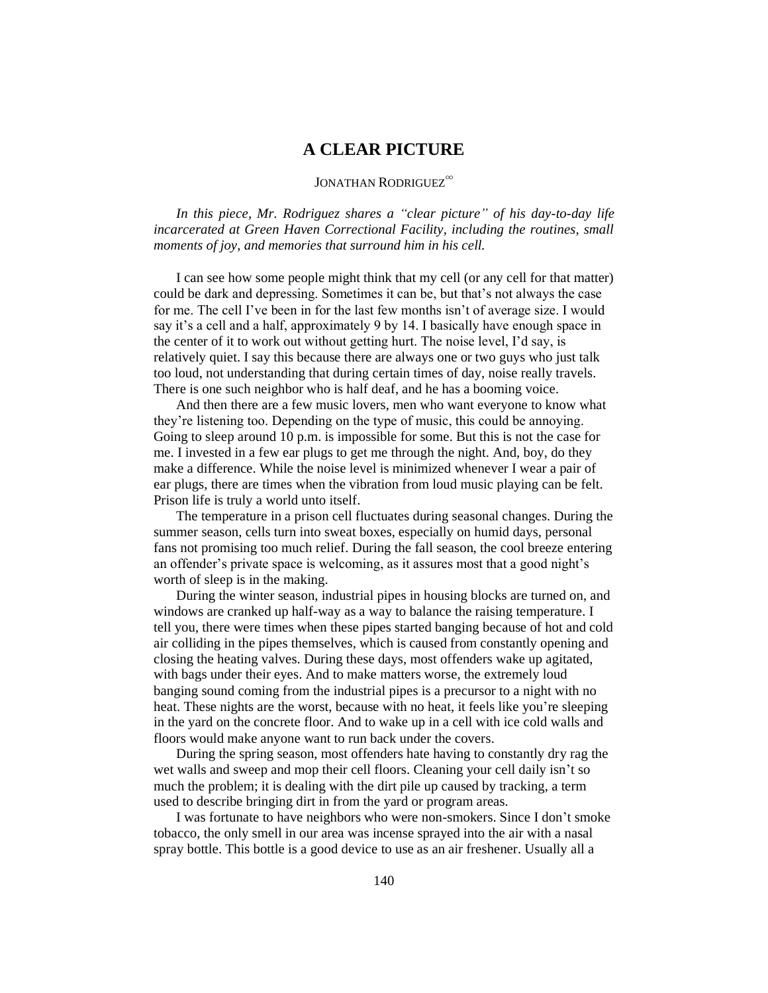## **A CLEAR PICTURE**

## JONATHAN RODRIGUEZ<sup>∞</sup>

*In this piece, Mr. Rodriguez shares a "clear picture" of his day-to-day life incarcerated at Green Haven Correctional Facility, including the routines, small moments of joy, and memories that surround him in his cell.* 

I can see how some people might think that my cell (or any cell for that matter) could be dark and depressing. Sometimes it can be, but that's not always the case for me. The cell I've been in for the last few months isn't of average size. I would say it's a cell and a half, approximately 9 by 14. I basically have enough space in the center of it to work out without getting hurt. The noise level, I'd say, is relatively quiet. I say this because there are always one or two guys who just talk too loud, not understanding that during certain times of day, noise really travels. There is one such neighbor who is half deaf, and he has a booming voice.

And then there are a few music lovers, men who want everyone to know what they're listening too. Depending on the type of music, this could be annoying. Going to sleep around 10 p.m. is impossible for some. But this is not the case for me. I invested in a few ear plugs to get me through the night. And, boy, do they make a difference. While the noise level is minimized whenever I wear a pair of ear plugs, there are times when the vibration from loud music playing can be felt. Prison life is truly a world unto itself.

The temperature in a prison cell fluctuates during seasonal changes. During the summer season, cells turn into sweat boxes, especially on humid days, personal fans not promising too much relief. During the fall season, the cool breeze entering an offender's private space is welcoming, as it assures most that a good night's worth of sleep is in the making.

During the winter season, industrial pipes in housing blocks are turned on, and windows are cranked up half-way as a way to balance the raising temperature. I tell you, there were times when these pipes started banging because of hot and cold air colliding in the pipes themselves, which is caused from constantly opening and closing the heating valves. During these days, most offenders wake up agitated, with bags under their eyes. And to make matters worse, the extremely loud banging sound coming from the industrial pipes is a precursor to a night with no heat. These nights are the worst, because with no heat, it feels like you're sleeping in the yard on the concrete floor. And to wake up in a cell with ice cold walls and floors would make anyone want to run back under the covers.

During the spring season, most offenders hate having to constantly dry rag the wet walls and sweep and mop their cell floors. Cleaning your cell daily isn't so much the problem; it is dealing with the dirt pile up caused by tracking, a term used to describe bringing dirt in from the yard or program areas.

I was fortunate to have neighbors who were non-smokers. Since I don't smoke tobacco, the only smell in our area was incense sprayed into the air with a nasal spray bottle. This bottle is a good device to use as an air freshener. Usually all a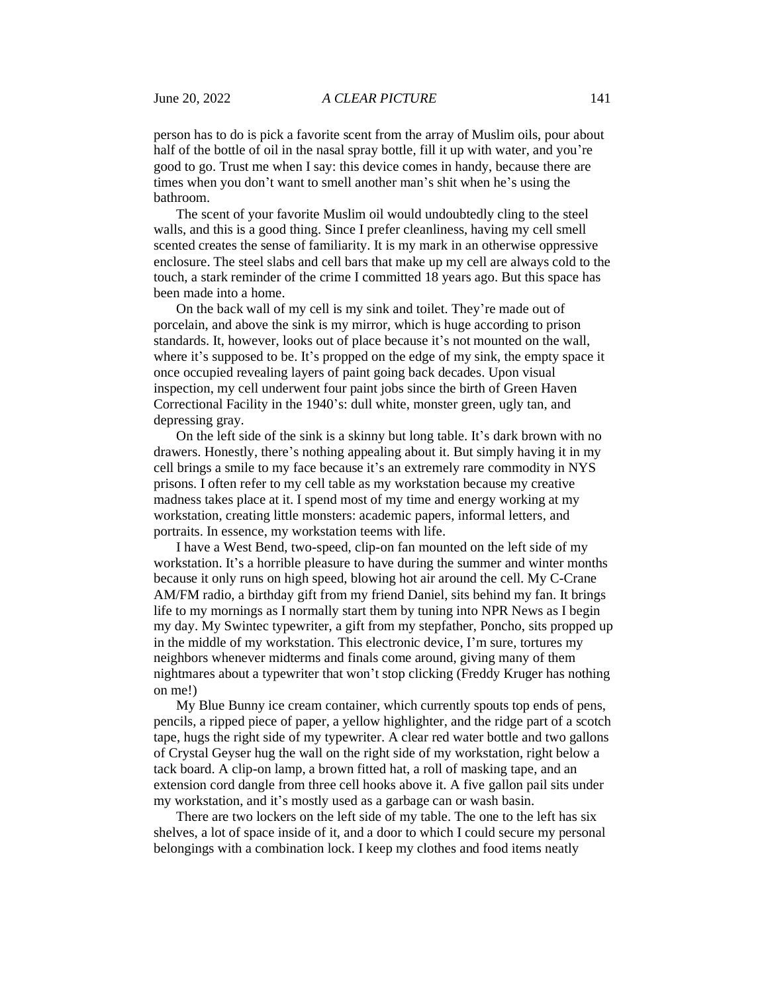person has to do is pick a favorite scent from the array of Muslim oils, pour about half of the bottle of oil in the nasal spray bottle, fill it up with water, and you're good to go. Trust me when I say: this device comes in handy, because there are times when you don't want to smell another man's shit when he's using the bathroom.

The scent of your favorite Muslim oil would undoubtedly cling to the steel walls, and this is a good thing. Since I prefer cleanliness, having my cell smell scented creates the sense of familiarity. It is my mark in an otherwise oppressive enclosure. The steel slabs and cell bars that make up my cell are always cold to the touch, a stark reminder of the crime I committed 18 years ago. But this space has been made into a home.

On the back wall of my cell is my sink and toilet. They're made out of porcelain, and above the sink is my mirror, which is huge according to prison standards. It, however, looks out of place because it's not mounted on the wall, where it's supposed to be. It's propped on the edge of my sink, the empty space it once occupied revealing layers of paint going back decades. Upon visual inspection, my cell underwent four paint jobs since the birth of Green Haven Correctional Facility in the 1940's: dull white, monster green, ugly tan, and depressing gray.

On the left side of the sink is a skinny but long table. It's dark brown with no drawers. Honestly, there's nothing appealing about it. But simply having it in my cell brings a smile to my face because it's an extremely rare commodity in NYS prisons. I often refer to my cell table as my workstation because my creative madness takes place at it. I spend most of my time and energy working at my workstation, creating little monsters: academic papers, informal letters, and portraits. In essence, my workstation teems with life.

I have a West Bend, two-speed, clip-on fan mounted on the left side of my workstation. It's a horrible pleasure to have during the summer and winter months because it only runs on high speed, blowing hot air around the cell. My C-Crane AM/FM radio, a birthday gift from my friend Daniel, sits behind my fan. It brings life to my mornings as I normally start them by tuning into NPR News as I begin my day. My Swintec typewriter, a gift from my stepfather, Poncho, sits propped up in the middle of my workstation. This electronic device, I'm sure, tortures my neighbors whenever midterms and finals come around, giving many of them nightmares about a typewriter that won't stop clicking (Freddy Kruger has nothing on me!)

My Blue Bunny ice cream container, which currently spouts top ends of pens, pencils, a ripped piece of paper, a yellow highlighter, and the ridge part of a scotch tape, hugs the right side of my typewriter. A clear red water bottle and two gallons of Crystal Geyser hug the wall on the right side of my workstation, right below a tack board. A clip-on lamp, a brown fitted hat, a roll of masking tape, and an extension cord dangle from three cell hooks above it. A five gallon pail sits under my workstation, and it's mostly used as a garbage can or wash basin.

There are two lockers on the left side of my table. The one to the left has six shelves, a lot of space inside of it, and a door to which I could secure my personal belongings with a combination lock. I keep my clothes and food items neatly